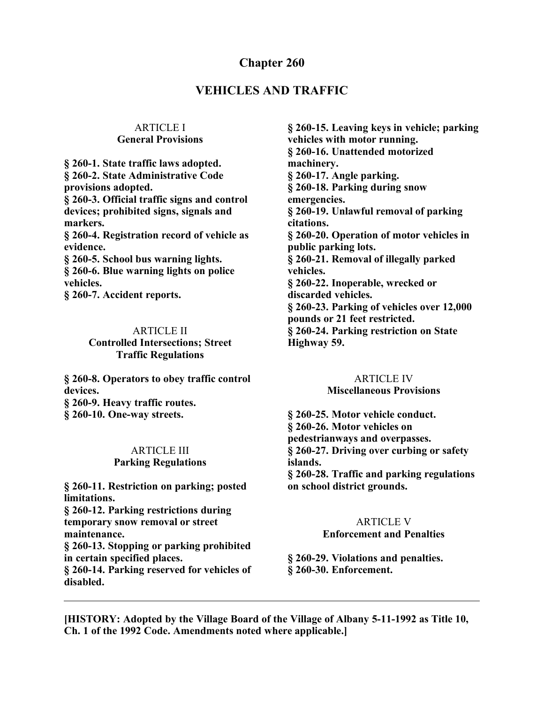## **Chapter 260**

## **VEHICLES AND TRAFFIC**

#### ARTICLE I **General Provisions**

**§ 260-1. State traffic laws adopted. § 260-2. State Administrative Code provisions adopted. § 260-3. Official traffic signs and control devices; prohibited signs, signals and markers. § 260-4. Registration record of vehicle as evidence. § 260-5. School bus warning lights. § 260-6. Blue warning lights on police vehicles. § 260-7. Accident reports.**

#### ARTICLE II

#### **Controlled Intersections; Street Traffic Regulations**

**§ 260-8. Operators to obey traffic control devices. § 260-9. Heavy traffic routes. § 260-10. One-way streets.**

#### ARTICLE III **Parking Regulations**

**§ 260-11. Restriction on parking; posted limitations. § 260-12. Parking restrictions during temporary snow removal or street maintenance.**

**§ 260-13. Stopping or parking prohibited in certain specified places.**

**§ 260-14. Parking reserved for vehicles of disabled.**

**§ 260-15. Leaving keys in vehicle; parking vehicles with motor running. § 260-16. Unattended motorized machinery. § 260-17. Angle parking. § 260-18. Parking during snow emergencies. § 260-19. Unlawful removal of parking citations. § 260-20. Operation of motor vehicles in public parking lots. § 260-21. Removal of illegally parked vehicles. § 260-22. Inoperable, wrecked or discarded vehicles. § 260-23. Parking of vehicles over 12,000 pounds or 21 feet restricted. § 260-24. Parking restriction on State Highway 59.**

# ARTICLE IV

### **Miscellaneous Provisions**

**§ 260-25. Motor vehicle conduct. § 260-26. Motor vehicles on pedestrianways and overpasses. § 260-27. Driving over curbing or safety islands. § 260-28. Traffic and parking regulations on school district grounds.**

# ARTICLE V

# **Enforcement and Penalties**

#### **§ 260-29. Violations and penalties. § 260-30. Enforcement.**

**[HISTORY: Adopted by the Village Board of the Village of Albany 5-11-1992 as Title 10, Ch. 1 of the 1992 Code. Amendments noted where applicable.]**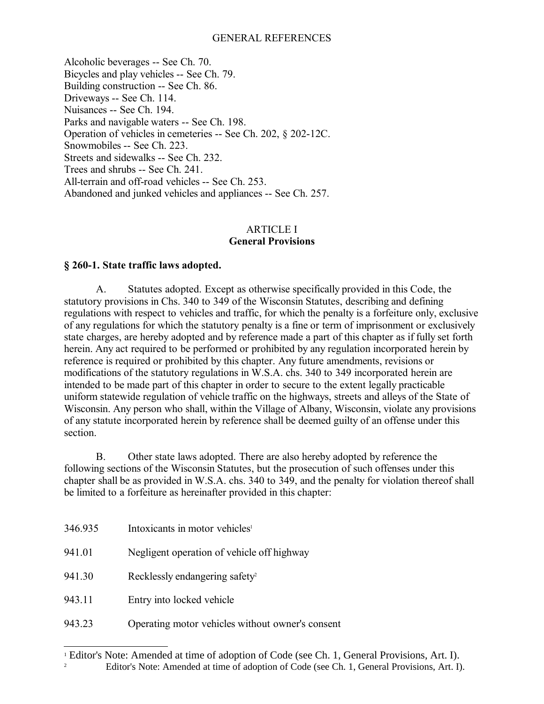#### GENERAL REFERENCES

Alcoholic beverages -- See Ch. 70. Bicycles and play vehicles -- See Ch. 79. Building construction -- See Ch. 86. Driveways -- See Ch. 114. Nuisances -- See Ch. 194. Parks and navigable waters -- See Ch. 198. Operation of vehicles in cemeteries -- See Ch. 202, § 202-12C. Snowmobiles -- See Ch. 223. Streets and sidewalks -- See Ch. 232. Trees and shrubs -- See Ch. 241. All-terrain and off-road vehicles -- See Ch. 253. Abandoned and junked vehicles and appliances -- See Ch. 257.

#### ARTICLE I **General Provisions**

#### **§ 260-1. State traffic laws adopted.**

A. Statutes adopted. Except as otherwise specifically provided in this Code, the statutory provisions in Chs. 340 to 349 of the Wisconsin Statutes, describing and defining regulations with respect to vehicles and traffic, for which the penalty is a forfeiture only, exclusive of any regulations for which the statutory penalty is a fine or term of imprisonment or exclusively state charges, are hereby adopted and by reference made a part of this chapter as if fully set forth herein. Any act required to be performed or prohibited by any regulation incorporated herein by reference is required or prohibited by this chapter. Any future amendments, revisions or modifications of the statutory regulations in W.S.A. chs. 340 to 349 incorporated herein are intended to be made part of this chapter in order to secure to the extent legally practicable uniform statewide regulation of vehicle traffic on the highways, streets and alleys of the State of Wisconsin. Any person who shall, within the Village of Albany, Wisconsin, violate any provisions of any statute incorporated herein by reference shall be deemed guilty of an offense under this section.

B. Other state laws adopted. There are also hereby adopted by reference the following sections of the Wisconsin Statutes, but the prosecution of such offenses under this chapter shall be as provided in W.S.A. chs. 340 to 349, and the penalty for violation thereof shall be limited to a forfeiture as hereinafter provided in this chapter:

| 346.935 | Intoxicants in motor vehicles <sup>1</sup>       |
|---------|--------------------------------------------------|
| 941.01  | Negligent operation of vehicle off highway       |
| 941.30  | Recklessly endangering safety <sup>2</sup>       |
| 943.11  | Entry into locked vehicle                        |
| 943.23  | Operating motor vehicles without owner's consent |

<span id="page-1-1"></span><span id="page-1-0"></span><sup>&</sup>lt;sup>1</sup> Editor's Note: Amended at time of adoption of Code (see Ch. 1, General Provisions, Art. I). 2 Editor's Note: Amended at time of adoption of Code (see Ch. 1, General Provisions, Art. I).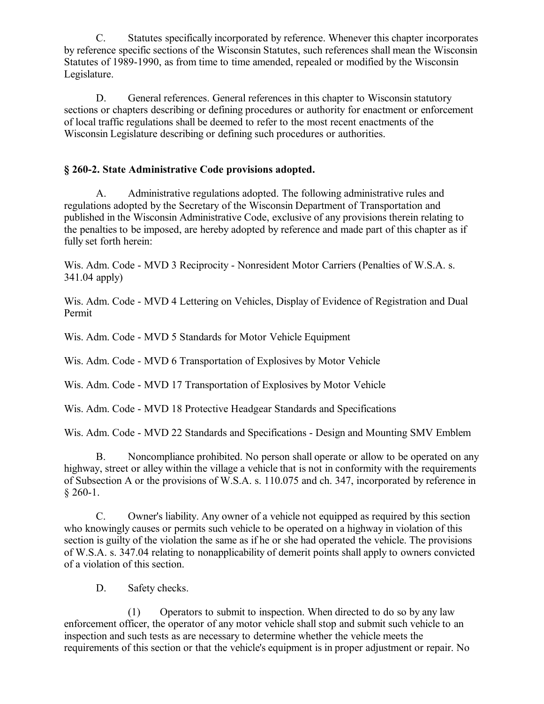C. Statutes specifically incorporated by reference. Whenever this chapter incorporates by reference specific sections of the Wisconsin Statutes, such references shall mean the Wisconsin Statutes of 1989-1990, as from time to time amended, repealed or modified by the Wisconsin Legislature.

D. General references. General references in this chapter to Wisconsin statutory sections or chapters describing or defining procedures or authority for enactment or enforcement of local traffic regulations shall be deemed to refer to the most recent enactments of the Wisconsin Legislature describing or defining such procedures or authorities.

## **§ 260-2. State Administrative Code provisions adopted.**

A. Administrative regulations adopted. The following administrative rules and regulations adopted by the Secretary of the Wisconsin Department of Transportation and published in the Wisconsin Administrative Code, exclusive of any provisions therein relating to the penalties to be imposed, are hereby adopted by reference and made part of this chapter as if fully set forth herein:

Wis. Adm. Code - MVD 3 Reciprocity - Nonresident Motor Carriers (Penalties of W.S.A. s. 341.04 apply)

Wis. Adm. Code - MVD 4 Lettering on Vehicles, Display of Evidence of Registration and Dual Permit

Wis. Adm. Code - MVD 5 Standards for Motor Vehicle Equipment

Wis. Adm. Code - MVD 6 Transportation of Explosives by Motor Vehicle

Wis. Adm. Code - MVD 17 Transportation of Explosives by Motor Vehicle

Wis. Adm. Code - MVD 18 Protective Headgear Standards and Specifications

Wis. Adm. Code - MVD 22 Standards and Specifications - Design and Mounting SMV Emblem

B. Noncompliance prohibited. No person shall operate or allow to be operated on any highway, street or alley within the village a vehicle that is not in conformity with the requirements of Subsection A or the provisions of W.S.A. s. 110.075 and ch. 347, incorporated by reference in  $§$  260-1.

C. Owner's liability. Any owner of a vehicle not equipped as required by this section who knowingly causes or permits such vehicle to be operated on a highway in violation of this section is guilty of the violation the same as if he or she had operated the vehicle. The provisions of W.S.A. s. 347.04 relating to nonapplicability of demerit points shall apply to owners convicted of a violation of this section.

D. Safety checks.

(1) Operators to submit to inspection. When directed to do so by any law enforcement officer, the operator of any motor vehicle shall stop and submit such vehicle to an inspection and such tests as are necessary to determine whether the vehicle meets the requirements of this section or that the vehicle's equipment is in proper adjustment or repair. No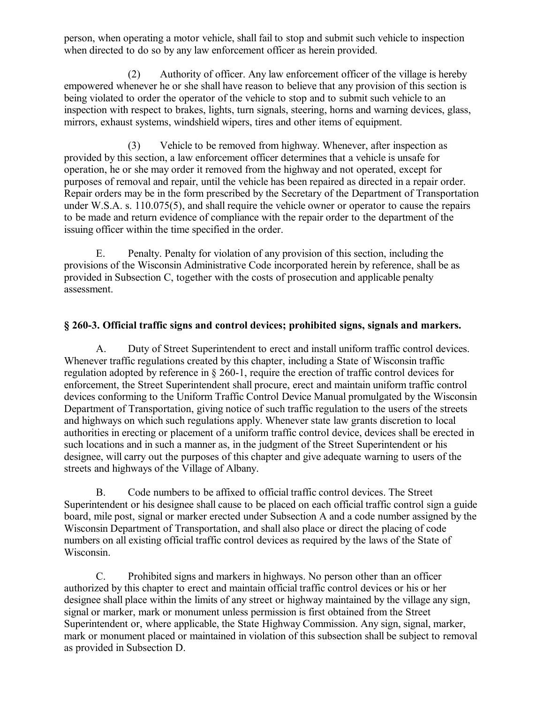person, when operating a motor vehicle, shall fail to stop and submit such vehicle to inspection when directed to do so by any law enforcement officer as herein provided.

(2) Authority of officer. Any law enforcement officer of the village is hereby empowered whenever he or she shall have reason to believe that any provision of this section is being violated to order the operator of the vehicle to stop and to submit such vehicle to an inspection with respect to brakes, lights, turn signals, steering, horns and warning devices, glass, mirrors, exhaust systems, windshield wipers, tires and other items of equipment.

(3) Vehicle to be removed from highway. Whenever, after inspection as provided by this section, a law enforcement officer determines that a vehicle is unsafe for operation, he or she may order it removed from the highway and not operated, except for purposes of removal and repair, until the vehicle has been repaired as directed in a repair order. Repair orders may be in the form prescribed by the Secretary of the Department of Transportation under W.S.A. s. 110.075(5), and shall require the vehicle owner or operator to cause the repairs to be made and return evidence of compliance with the repair order to the department of the issuing officer within the time specified in the order.

E. Penalty. Penalty for violation of any provision of this section, including the provisions of the Wisconsin Administrative Code incorporated herein by reference, shall be as provided in Subsection C, together with the costs of prosecution and applicable penalty assessment.

## **§ 260-3. Official traffic signs and control devices; prohibited signs, signals and markers.**

A. Duty of Street Superintendent to erect and install uniform traffic control devices. Whenever traffic regulations created by this chapter, including a State of Wisconsin traffic regulation adopted by reference in § 260-1, require the erection of traffic control devices for enforcement, the Street Superintendent shall procure, erect and maintain uniform traffic control devices conforming to the Uniform Traffic Control Device Manual promulgated by the Wisconsin Department of Transportation, giving notice of such traffic regulation to the users of the streets and highways on which such regulations apply. Whenever state law grants discretion to local authorities in erecting or placement of a uniform traffic control device, devices shall be erected in such locations and in such a manner as, in the judgment of the Street Superintendent or his designee, will carry out the purposes of this chapter and give adequate warning to users of the streets and highways of the Village of Albany.

B. Code numbers to be affixed to official traffic control devices. The Street Superintendent or his designee shall cause to be placed on each official traffic control sign a guide board, mile post, signal or marker erected under Subsection A and a code number assigned by the Wisconsin Department of Transportation, and shall also place or direct the placing of code numbers on all existing official traffic control devices as required by the laws of the State of Wisconsin.

C. Prohibited signs and markers in highways. No person other than an officer authorized by this chapter to erect and maintain official traffic control devices or his or her designee shall place within the limits of any street or highway maintained by the village any sign, signal or marker, mark or monument unless permission is first obtained from the Street Superintendent or, where applicable, the State Highway Commission. Any sign, signal, marker, mark or monument placed or maintained in violation of this subsection shall be subject to removal as provided in Subsection D.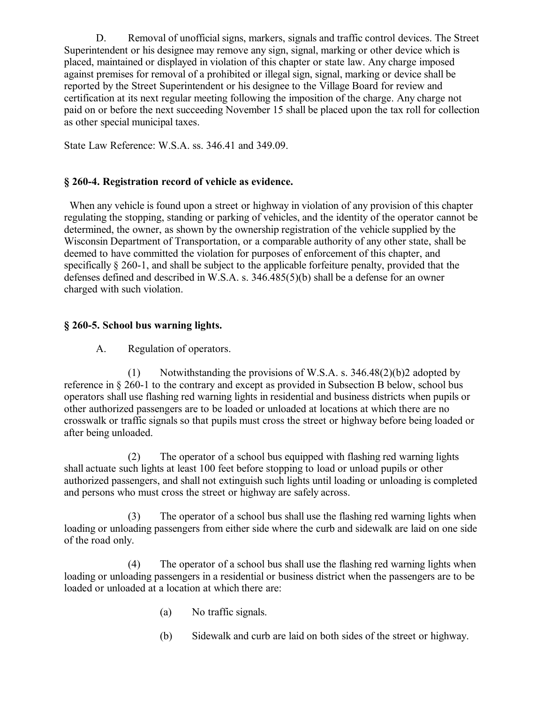D. Removal of unofficial signs, markers, signals and traffic control devices. The Street Superintendent or his designee may remove any sign, signal, marking or other device which is placed, maintained or displayed in violation of this chapter or state law. Any charge imposed against premises for removal of a prohibited or illegal sign, signal, marking or device shall be reported by the Street Superintendent or his designee to the Village Board for review and certification at its next regular meeting following the imposition of the charge. Any charge not paid on or before the next succeeding November 15 shall be placed upon the tax roll for collection as other special municipal taxes.

State Law Reference: W.S.A. ss. 346.41 and 349.09.

## **§ 260-4. Registration record of vehicle as evidence.**

 When any vehicle is found upon a street or highway in violation of any provision of this chapter regulating the stopping, standing or parking of vehicles, and the identity of the operator cannot be determined, the owner, as shown by the ownership registration of the vehicle supplied by the Wisconsin Department of Transportation, or a comparable authority of any other state, shall be deemed to have committed the violation for purposes of enforcement of this chapter, and specifically § 260-1, and shall be subject to the applicable forfeiture penalty, provided that the defenses defined and described in W.S.A. s. 346.485(5)(b) shall be a defense for an owner charged with such violation.

## **§ 260-5. School bus warning lights.**

A. Regulation of operators.

(1) Notwithstanding the provisions of W.S.A. s. 346.48(2)(b)2 adopted by reference in § 260-1 to the contrary and except as provided in Subsection B below, school bus operators shall use flashing red warning lights in residential and business districts when pupils or other authorized passengers are to be loaded or unloaded at locations at which there are no crosswalk or traffic signals so that pupils must cross the street or highway before being loaded or after being unloaded.

(2) The operator of a school bus equipped with flashing red warning lights shall actuate such lights at least 100 feet before stopping to load or unload pupils or other authorized passengers, and shall not extinguish such lights until loading or unloading is completed and persons who must cross the street or highway are safely across.

(3) The operator of a school bus shall use the flashing red warning lights when loading or unloading passengers from either side where the curb and sidewalk are laid on one side of the road only.

(4) The operator of a school bus shall use the flashing red warning lights when loading or unloading passengers in a residential or business district when the passengers are to be loaded or unloaded at a location at which there are:

- (a) No traffic signals.
- (b) Sidewalk and curb are laid on both sides of the street or highway.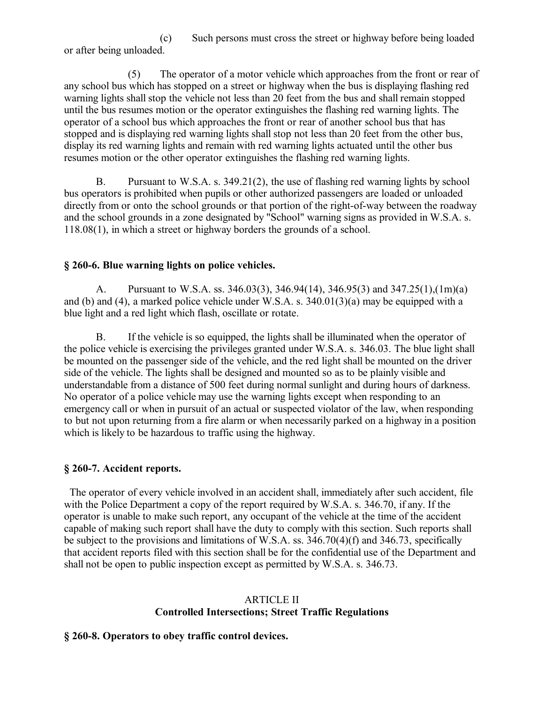(c) Such persons must cross the street or highway before being loaded or after being unloaded.

(5) The operator of a motor vehicle which approaches from the front or rear of any school bus which has stopped on a street or highway when the bus is displaying flashing red warning lights shall stop the vehicle not less than 20 feet from the bus and shall remain stopped until the bus resumes motion or the operator extinguishes the flashing red warning lights. The operator of a school bus which approaches the front or rear of another school bus that has stopped and is displaying red warning lights shall stop not less than 20 feet from the other bus, display its red warning lights and remain with red warning lights actuated until the other bus resumes motion or the other operator extinguishes the flashing red warning lights.

B. Pursuant to W.S.A. s. 349.21(2), the use of flashing red warning lights by school bus operators is prohibited when pupils or other authorized passengers are loaded or unloaded directly from or onto the school grounds or that portion of the right-of-way between the roadway and the school grounds in a zone designated by "School" warning signs as provided in W.S.A. s. 118.08(1), in which a street or highway borders the grounds of a school.

### **§ 260-6. Blue warning lights on police vehicles.**

A. Pursuant to W.S.A. ss. 346.03(3), 346.94(14), 346.95(3) and 347.25(1),(1m)(a) and (b) and (4), a marked police vehicle under W.S.A. s. 340.01(3)(a) may be equipped with a blue light and a red light which flash, oscillate or rotate.

B. If the vehicle is so equipped, the lights shall be illuminated when the operator of the police vehicle is exercising the privileges granted under W.S.A. s. 346.03. The blue light shall be mounted on the passenger side of the vehicle, and the red light shall be mounted on the driver side of the vehicle. The lights shall be designed and mounted so as to be plainly visible and understandable from a distance of 500 feet during normal sunlight and during hours of darkness. No operator of a police vehicle may use the warning lights except when responding to an emergency call or when in pursuit of an actual or suspected violator of the law, when responding to but not upon returning from a fire alarm or when necessarily parked on a highway in a position which is likely to be hazardous to traffic using the highway.

## **§ 260-7. Accident reports.**

 The operator of every vehicle involved in an accident shall, immediately after such accident, file with the Police Department a copy of the report required by W.S.A. s. 346.70, if any. If the operator is unable to make such report, any occupant of the vehicle at the time of the accident capable of making such report shall have the duty to comply with this section. Such reports shall be subject to the provisions and limitations of W.S.A. ss. 346.70(4)(f) and 346.73, specifically that accident reports filed with this section shall be for the confidential use of the Department and shall not be open to public inspection except as permitted by W.S.A. s. 346.73.

## ARTICLE II **Controlled Intersections; Street Traffic Regulations**

## **§ 260-8. Operators to obey traffic control devices.**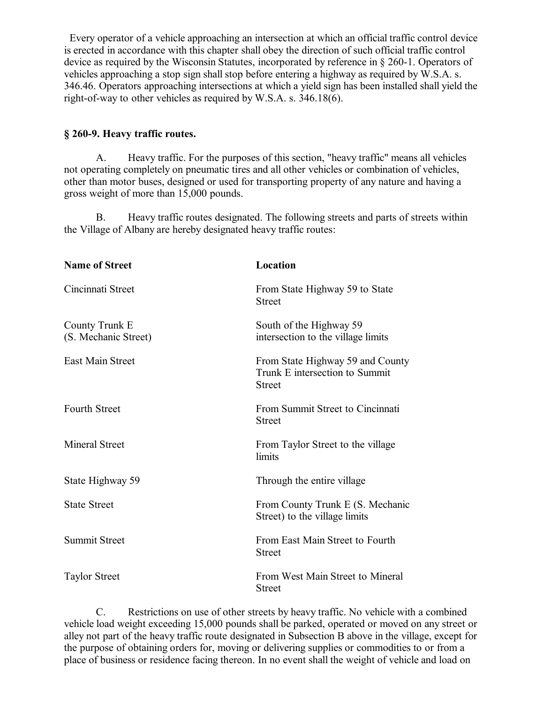Every operator of a vehicle approaching an intersection at which an official traffic control device is erected in accordance with this chapter shall obey the direction of such official traffic control device as required by the Wisconsin Statutes, incorporated by reference in § 260-1. Operators of vehicles approaching a stop sign shall stop before entering a highway as required by W.S.A. s. 346.46. Operators approaching intersections at which a yield sign has been installed shall yield the right-of-way to other vehicles as required by W.S.A. s. 346.18(6).

#### **§ 260-9. Heavy traffic routes.**

A. Heavy traffic. For the purposes of this section, "heavy traffic" means all vehicles not operating completely on pneumatic tires and all other vehicles or combination of vehicles, other than motor buses, designed or used for transporting property of any nature and having a gross weight of more than 15,000 pounds.

B. Heavy traffic routes designated. The following streets and parts of streets within the Village of Albany are hereby designated heavy traffic routes:

| <b>Name of Street</b>                  | Location                                                                            |
|----------------------------------------|-------------------------------------------------------------------------------------|
| Cincinnati Street                      | From State Highway 59 to State<br><b>Street</b>                                     |
| County Trunk E<br>(S. Mechanic Street) | South of the Highway 59<br>intersection to the village limits                       |
| <b>East Main Street</b>                | From State Highway 59 and County<br>Trunk E intersection to Summit<br><b>Street</b> |
| <b>Fourth Street</b>                   | From Summit Street to Cincinnati<br><b>Street</b>                                   |
| <b>Mineral Street</b>                  | From Taylor Street to the village<br>limits                                         |
| State Highway 59                       | Through the entire village                                                          |
| <b>State Street</b>                    | From County Trunk E (S. Mechanic<br>Street) to the village limits                   |
| <b>Summit Street</b>                   | From East Main Street to Fourth<br><b>Street</b>                                    |
| <b>Taylor Street</b>                   | From West Main Street to Mineral<br><b>Street</b>                                   |

C. Restrictions on use of other streets by heavy traffic. No vehicle with a combined vehicle load weight exceeding 15,000 pounds shall be parked, operated or moved on any street or alley not part of the heavy traffic route designated in Subsection B above in the village, except for the purpose of obtaining orders for, moving or delivering supplies or commodities to or from a place of business or residence facing thereon. In no event shall the weight of vehicle and load on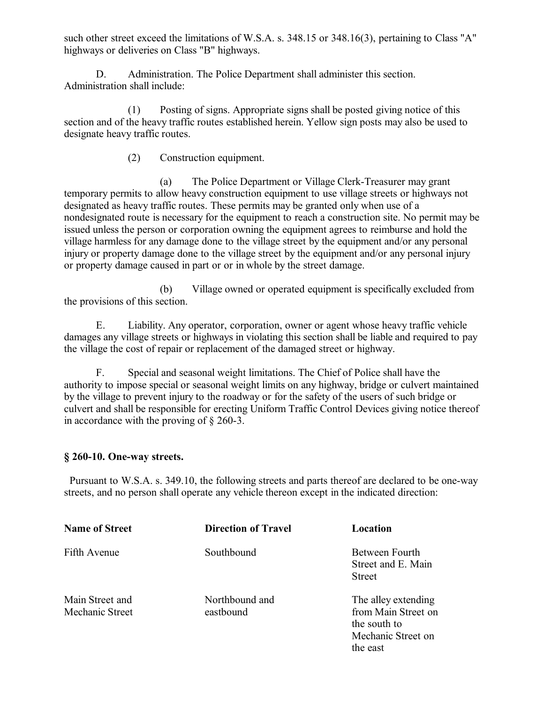such other street exceed the limitations of W.S.A. s. 348.15 or 348.16(3), pertaining to Class "A" highways or deliveries on Class "B" highways.

D. Administration. The Police Department shall administer this section. Administration shall include:

(1) Posting of signs. Appropriate signs shall be posted giving notice of this section and of the heavy traffic routes established herein. Yellow sign posts may also be used to designate heavy traffic routes.

(2) Construction equipment.

(a) The Police Department or Village Clerk-Treasurer may grant temporary permits to allow heavy construction equipment to use village streets or highways not designated as heavy traffic routes. These permits may be granted only when use of a nondesignated route is necessary for the equipment to reach a construction site. No permit may be issued unless the person or corporation owning the equipment agrees to reimburse and hold the village harmless for any damage done to the village street by the equipment and/or any personal injury or property damage done to the village street by the equipment and/or any personal injury or property damage caused in part or or in whole by the street damage.

(b) Village owned or operated equipment is specifically excluded from the provisions of this section.

E. Liability. Any operator, corporation, owner or agent whose heavy traffic vehicle damages any village streets or highways in violating this section shall be liable and required to pay the village the cost of repair or replacement of the damaged street or highway.

F. Special and seasonal weight limitations. The Chief of Police shall have the authority to impose special or seasonal weight limits on any highway, bridge or culvert maintained by the village to prevent injury to the roadway or for the safety of the users of such bridge or culvert and shall be responsible for erecting Uniform Traffic Control Devices giving notice thereof in accordance with the proving of § 260-3.

## **§ 260-10. One-way streets.**

 Pursuant to W.S.A. s. 349.10, the following streets and parts thereof are declared to be one-way streets, and no person shall operate any vehicle thereon except in the indicated direction:

| <b>Name of Street</b>              | <b>Direction of Travel</b>  | Location                                                                                     |
|------------------------------------|-----------------------------|----------------------------------------------------------------------------------------------|
| Fifth Avenue                       | Southbound                  | Between Fourth<br>Street and E. Main<br>Street                                               |
| Main Street and<br>Mechanic Street | Northbound and<br>eastbound | The alley extending<br>from Main Street on<br>the south to<br>Mechanic Street on<br>the east |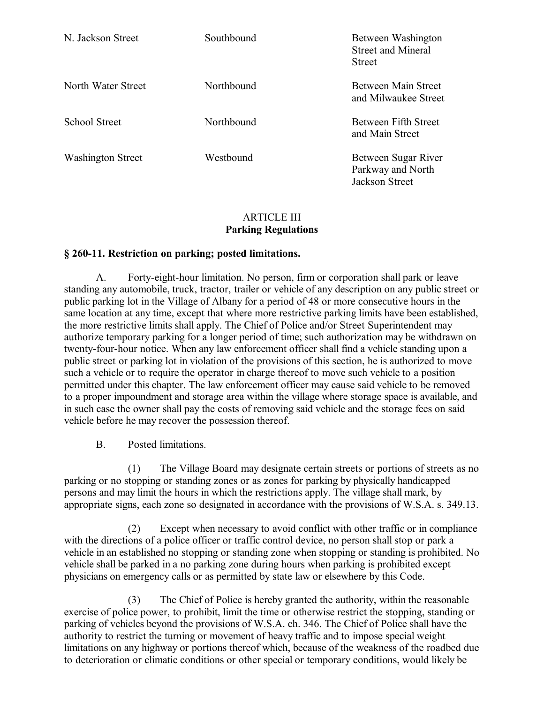| N. Jackson Street        | Southbound | Between Washington<br><b>Street and Mineral</b><br><b>Street</b> |
|--------------------------|------------|------------------------------------------------------------------|
| North Water Street       | Northbound | <b>Between Main Street</b><br>and Milwaukee Street               |
| School Street            | Northbound | Between Fifth Street<br>and Main Street                          |
| <b>Washington Street</b> | Westbound  | Between Sugar River<br>Parkway and North<br>Jackson Street       |

### ARTICLE III **Parking Regulations**

### **§ 260-11. Restriction on parking; posted limitations.**

A. Forty-eight-hour limitation. No person, firm or corporation shall park or leave standing any automobile, truck, tractor, trailer or vehicle of any description on any public street or public parking lot in the Village of Albany for a period of 48 or more consecutive hours in the same location at any time, except that where more restrictive parking limits have been established, the more restrictive limits shall apply. The Chief of Police and/or Street Superintendent may authorize temporary parking for a longer period of time; such authorization may be withdrawn on twenty-four-hour notice. When any law enforcement officer shall find a vehicle standing upon a public street or parking lot in violation of the provisions of this section, he is authorized to move such a vehicle or to require the operator in charge thereof to move such vehicle to a position permitted under this chapter. The law enforcement officer may cause said vehicle to be removed to a proper impoundment and storage area within the village where storage space is available, and in such case the owner shall pay the costs of removing said vehicle and the storage fees on said vehicle before he may recover the possession thereof.

B. Posted limitations.

(1) The Village Board may designate certain streets or portions of streets as no parking or no stopping or standing zones or as zones for parking by physically handicapped persons and may limit the hours in which the restrictions apply. The village shall mark, by appropriate signs, each zone so designated in accordance with the provisions of W.S.A. s. 349.13.

(2) Except when necessary to avoid conflict with other traffic or in compliance with the directions of a police officer or traffic control device, no person shall stop or park a vehicle in an established no stopping or standing zone when stopping or standing is prohibited. No vehicle shall be parked in a no parking zone during hours when parking is prohibited except physicians on emergency calls or as permitted by state law or elsewhere by this Code.

(3) The Chief of Police is hereby granted the authority, within the reasonable exercise of police power, to prohibit, limit the time or otherwise restrict the stopping, standing or parking of vehicles beyond the provisions of W.S.A. ch. 346. The Chief of Police shall have the authority to restrict the turning or movement of heavy traffic and to impose special weight limitations on any highway or portions thereof which, because of the weakness of the roadbed due to deterioration or climatic conditions or other special or temporary conditions, would likely be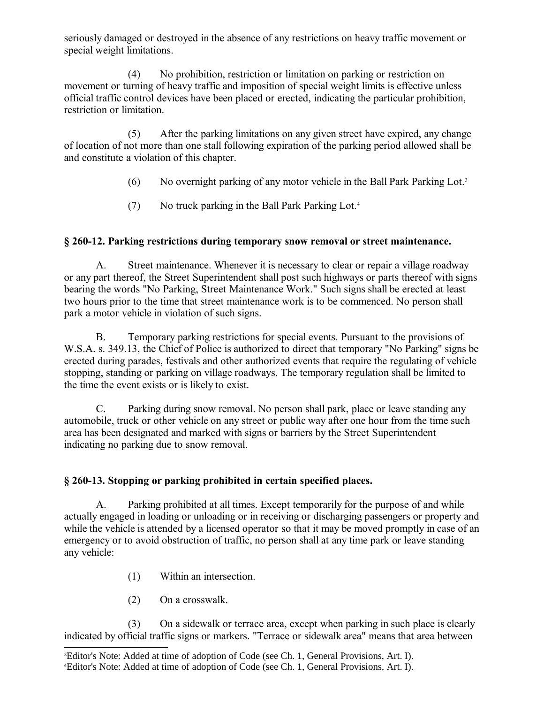seriously damaged or destroyed in the absence of any restrictions on heavy traffic movement or special weight limitations.

(4) No prohibition, restriction or limitation on parking or restriction on movement or turning of heavy traffic and imposition of special weight limits is effective unless official traffic control devices have been placed or erected, indicating the particular prohibition, restriction or limitation.

(5) After the parking limitations on any given street have expired, any change of location of not more than one stall following expiration of the parking period allowed shall be and constitute a violation of this chapter.

- (6) No overnight parking of any motor vehicle in the Ball Park Parking Lot.[3](#page-9-0)
- (7) No truck parking in the Ball Park Parking Lot.[4](#page-9-1)

# **§ 260-12. Parking restrictions during temporary snow removal or street maintenance.**

A. Street maintenance. Whenever it is necessary to clear or repair a village roadway or any part thereof, the Street Superintendent shall post such highways or parts thereof with signs bearing the words "No Parking, Street Maintenance Work." Such signs shall be erected at least two hours prior to the time that street maintenance work is to be commenced. No person shall park a motor vehicle in violation of such signs.

B. Temporary parking restrictions for special events. Pursuant to the provisions of W.S.A. s. 349.13, the Chief of Police is authorized to direct that temporary "No Parking" signs be erected during parades, festivals and other authorized events that require the regulating of vehicle stopping, standing or parking on village roadways. The temporary regulation shall be limited to the time the event exists or is likely to exist.

C. Parking during snow removal. No person shall park, place or leave standing any automobile, truck or other vehicle on any street or public way after one hour from the time such area has been designated and marked with signs or barriers by the Street Superintendent indicating no parking due to snow removal.

# **§ 260-13. Stopping or parking prohibited in certain specified places.**

A. Parking prohibited at all times. Except temporarily for the purpose of and while actually engaged in loading or unloading or in receiving or discharging passengers or property and while the vehicle is attended by a licensed operator so that it may be moved promptly in case of an emergency or to avoid obstruction of traffic, no person shall at any time park or leave standing any vehicle:

- (1) Within an intersection.
- (2) On a crosswalk.

(3) On a sidewalk or terrace area, except when parking in such place is clearly indicated by official traffic signs or markers. "Terrace or sidewalk area" means that area between

<span id="page-9-1"></span><span id="page-9-0"></span><sup>3</sup>Editor's Note: Added at time of adoption of Code (see Ch. 1, General Provisions, Art. I). 4Editor's Note: Added at time of adoption of Code (see Ch. 1, General Provisions, Art. I).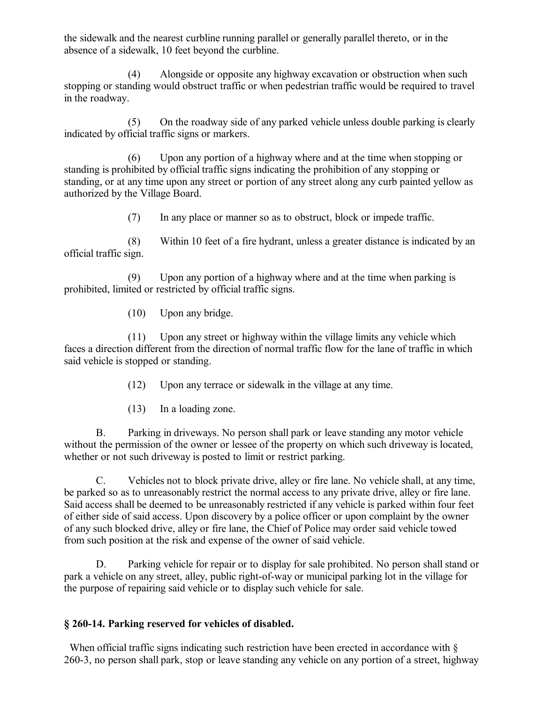the sidewalk and the nearest curbline running parallel or generally parallel thereto, or in the absence of a sidewalk, 10 feet beyond the curbline.

(4) Alongside or opposite any highway excavation or obstruction when such stopping or standing would obstruct traffic or when pedestrian traffic would be required to travel in the roadway.

(5) On the roadway side of any parked vehicle unless double parking is clearly indicated by official traffic signs or markers.

(6) Upon any portion of a highway where and at the time when stopping or standing is prohibited by official traffic signs indicating the prohibition of any stopping or standing, or at any time upon any street or portion of any street along any curb painted yellow as authorized by the Village Board.

(7) In any place or manner so as to obstruct, block or impede traffic.

(8) Within 10 feet of a fire hydrant, unless a greater distance is indicated by an official traffic sign.

(9) Upon any portion of a highway where and at the time when parking is prohibited, limited or restricted by official traffic signs.

(10) Upon any bridge.

(11) Upon any street or highway within the village limits any vehicle which faces a direction different from the direction of normal traffic flow for the lane of traffic in which said vehicle is stopped or standing.

(12) Upon any terrace or sidewalk in the village at any time.

(13) In a loading zone.

B. Parking in driveways. No person shall park or leave standing any motor vehicle without the permission of the owner or lessee of the property on which such driveway is located, whether or not such driveway is posted to limit or restrict parking.

C. Vehicles not to block private drive, alley or fire lane. No vehicle shall, at any time, be parked so as to unreasonably restrict the normal access to any private drive, alley or fire lane. Said access shall be deemed to be unreasonably restricted if any vehicle is parked within four feet of either side of said access. Upon discovery by a police officer or upon complaint by the owner of any such blocked drive, alley or fire lane, the Chief of Police may order said vehicle towed from such position at the risk and expense of the owner of said vehicle.

D. Parking vehicle for repair or to display for sale prohibited. No person shall stand or park a vehicle on any street, alley, public right-of-way or municipal parking lot in the village for the purpose of repairing said vehicle or to display such vehicle for sale.

## **§ 260-14. Parking reserved for vehicles of disabled.**

When official traffic signs indicating such restriction have been erected in accordance with  $\delta$ 260-3, no person shall park, stop or leave standing any vehicle on any portion of a street, highway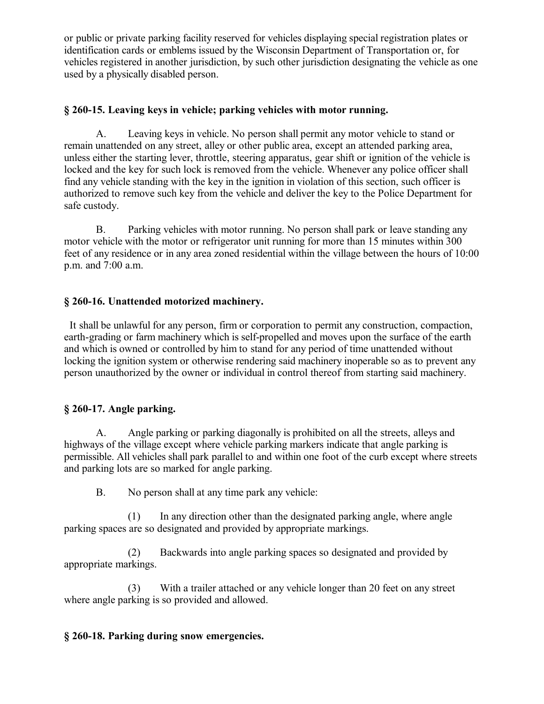or public or private parking facility reserved for vehicles displaying special registration plates or identification cards or emblems issued by the Wisconsin Department of Transportation or, for vehicles registered in another jurisdiction, by such other jurisdiction designating the vehicle as one used by a physically disabled person.

## **§ 260-15. Leaving keys in vehicle; parking vehicles with motor running.**

A. Leaving keys in vehicle. No person shall permit any motor vehicle to stand or remain unattended on any street, alley or other public area, except an attended parking area, unless either the starting lever, throttle, steering apparatus, gear shift or ignition of the vehicle is locked and the key for such lock is removed from the vehicle. Whenever any police officer shall find any vehicle standing with the key in the ignition in violation of this section, such officer is authorized to remove such key from the vehicle and deliver the key to the Police Department for safe custody.

B. Parking vehicles with motor running. No person shall park or leave standing any motor vehicle with the motor or refrigerator unit running for more than 15 minutes within 300 feet of any residence or in any area zoned residential within the village between the hours of 10:00 p.m. and 7:00 a.m.

## **§ 260-16. Unattended motorized machinery.**

 It shall be unlawful for any person, firm or corporation to permit any construction, compaction, earth-grading or farm machinery which is self-propelled and moves upon the surface of the earth and which is owned or controlled by him to stand for any period of time unattended without locking the ignition system or otherwise rendering said machinery inoperable so as to prevent any person unauthorized by the owner or individual in control thereof from starting said machinery.

## **§ 260-17. Angle parking.**

A. Angle parking or parking diagonally is prohibited on all the streets, alleys and highways of the village except where vehicle parking markers indicate that angle parking is permissible. All vehicles shall park parallel to and within one foot of the curb except where streets and parking lots are so marked for angle parking.

B. No person shall at any time park any vehicle:

(1) In any direction other than the designated parking angle, where angle parking spaces are so designated and provided by appropriate markings.

(2) Backwards into angle parking spaces so designated and provided by appropriate markings.

(3) With a trailer attached or any vehicle longer than 20 feet on any street where angle parking is so provided and allowed.

## **§ 260-18. Parking during snow emergencies.**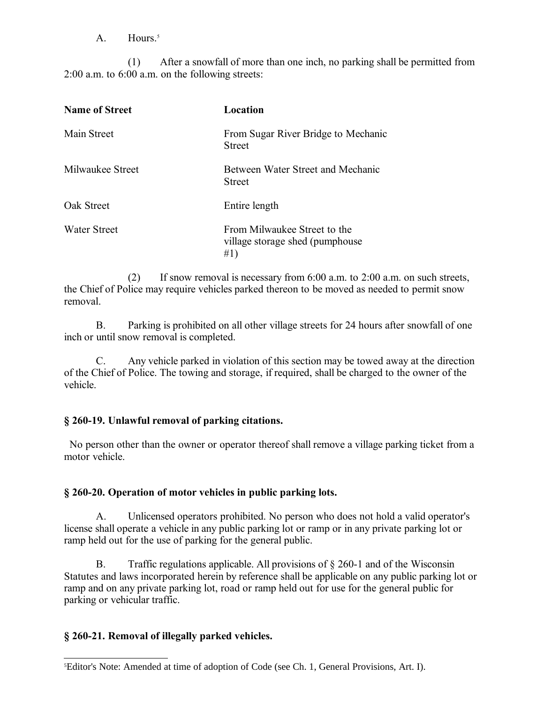$A$  Hours<sup>[5](#page-12-0)</sup>

(1) After a snowfall of more than one inch, no parking shall be permitted from 2:00 a.m. to 6:00 a.m. on the following streets:

| <b>Name of Street</b> | Location                                                                |
|-----------------------|-------------------------------------------------------------------------|
| Main Street           | From Sugar River Bridge to Mechanic<br><b>Street</b>                    |
| Milwaukee Street      | Between Water Street and Mechanic<br><b>Street</b>                      |
| Oak Street            | Entire length                                                           |
| <b>Water Street</b>   | From Milwaukee Street to the<br>village storage shed (pumphouse)<br>#1) |

(2) If snow removal is necessary from 6:00 a.m. to 2:00 a.m. on such streets, the Chief of Police may require vehicles parked thereon to be moved as needed to permit snow removal.

B. Parking is prohibited on all other village streets for 24 hours after snowfall of one inch or until snow removal is completed.

C. Any vehicle parked in violation of this section may be towed away at the direction of the Chief of Police. The towing and storage, if required, shall be charged to the owner of the vehicle.

## **§ 260-19. Unlawful removal of parking citations.**

 No person other than the owner or operator thereof shall remove a village parking ticket from a motor vehicle.

## **§ 260-20. Operation of motor vehicles in public parking lots.**

A. Unlicensed operators prohibited. No person who does not hold a valid operator's license shall operate a vehicle in any public parking lot or ramp or in any private parking lot or ramp held out for the use of parking for the general public.

B. Traffic regulations applicable. All provisions of § 260-1 and of the Wisconsin Statutes and laws incorporated herein by reference shall be applicable on any public parking lot or ramp and on any private parking lot, road or ramp held out for use for the general public for parking or vehicular traffic.

## **§ 260-21. Removal of illegally parked vehicles.**

<span id="page-12-0"></span><sup>5</sup>Editor's Note: Amended at time of adoption of Code (see Ch. 1, General Provisions, Art. I).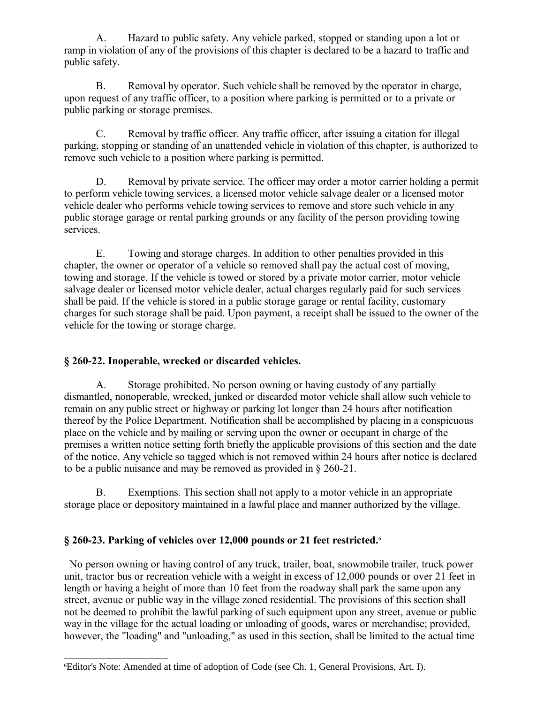A. Hazard to public safety. Any vehicle parked, stopped or standing upon a lot or ramp in violation of any of the provisions of this chapter is declared to be a hazard to traffic and public safety.

B. Removal by operator. Such vehicle shall be removed by the operator in charge, upon request of any traffic officer, to a position where parking is permitted or to a private or public parking or storage premises.

C. Removal by traffic officer. Any traffic officer, after issuing a citation for illegal parking, stopping or standing of an unattended vehicle in violation of this chapter, is authorized to remove such vehicle to a position where parking is permitted.

D. Removal by private service. The officer may order a motor carrier holding a permit to perform vehicle towing services, a licensed motor vehicle salvage dealer or a licensed motor vehicle dealer who performs vehicle towing services to remove and store such vehicle in any public storage garage or rental parking grounds or any facility of the person providing towing services.

E. Towing and storage charges. In addition to other penalties provided in this chapter, the owner or operator of a vehicle so removed shall pay the actual cost of moving, towing and storage. If the vehicle is towed or stored by a private motor carrier, motor vehicle salvage dealer or licensed motor vehicle dealer, actual charges regularly paid for such services shall be paid. If the vehicle is stored in a public storage garage or rental facility, customary charges for such storage shall be paid. Upon payment, a receipt shall be issued to the owner of the vehicle for the towing or storage charge.

## **§ 260-22. Inoperable, wrecked or discarded vehicles.**

A. Storage prohibited. No person owning or having custody of any partially dismantled, nonoperable, wrecked, junked or discarded motor vehicle shall allow such vehicle to remain on any public street or highway or parking lot longer than 24 hours after notification thereof by the Police Department. Notification shall be accomplished by placing in a conspicuous place on the vehicle and by mailing or serving upon the owner or occupant in charge of the premises a written notice setting forth briefly the applicable provisions of this section and the date of the notice. Any vehicle so tagged which is not removed within 24 hours after notice is declared to be a public nuisance and may be removed as provided in § 260-21.

B. Exemptions. This section shall not apply to a motor vehicle in an appropriate storage place or depository maintained in a lawful place and manner authorized by the village.

# **§ 260-23. Parking of vehicles over 12,000 pounds or 21 feet restricted.**[6](#page-13-0)

 No person owning or having control of any truck, trailer, boat, snowmobile trailer, truck power unit, tractor bus or recreation vehicle with a weight in excess of 12,000 pounds or over 21 feet in length or having a height of more than 10 feet from the roadway shall park the same upon any street, avenue or public way in the village zoned residential. The provisions of this section shall not be deemed to prohibit the lawful parking of such equipment upon any street, avenue or public way in the village for the actual loading or unloading of goods, wares or merchandise; provided, however, the "loading" and "unloading," as used in this section, shall be limited to the actual time

<span id="page-13-0"></span><sup>6</sup>Editor's Note: Amended at time of adoption of Code (see Ch. 1, General Provisions, Art. I).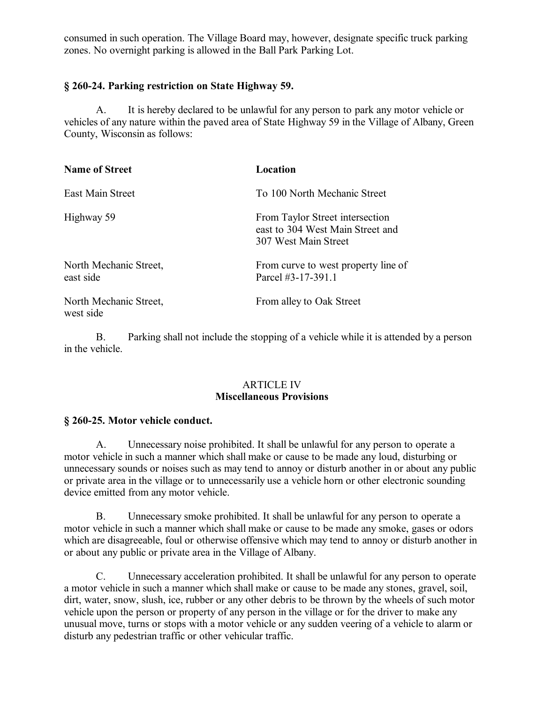consumed in such operation. The Village Board may, however, designate specific truck parking zones. No overnight parking is allowed in the Ball Park Parking Lot.

## **§ 260-24. Parking restriction on State Highway 59.**

A. It is hereby declared to be unlawful for any person to park any motor vehicle or vehicles of any nature within the paved area of State Highway 59 in the Village of Albany, Green County, Wisconsin as follows:

| <b>Name of Street</b>               | Location                                                                                    |
|-------------------------------------|---------------------------------------------------------------------------------------------|
| East Main Street                    | To 100 North Mechanic Street                                                                |
| Highway 59                          | From Taylor Street intersection<br>east to 304 West Main Street and<br>307 West Main Street |
| North Mechanic Street,<br>east side | From curve to west property line of<br>Parcel #3-17-391.1                                   |
| North Mechanic Street,<br>west side | From alley to Oak Street                                                                    |

B. Parking shall not include the stopping of a vehicle while it is attended by a person in the vehicle.

#### ARTICLE IV **Miscellaneous Provisions**

#### **§ 260-25. Motor vehicle conduct.**

A. Unnecessary noise prohibited. It shall be unlawful for any person to operate a motor vehicle in such a manner which shall make or cause to be made any loud, disturbing or unnecessary sounds or noises such as may tend to annoy or disturb another in or about any public or private area in the village or to unnecessarily use a vehicle horn or other electronic sounding device emitted from any motor vehicle.

B. Unnecessary smoke prohibited. It shall be unlawful for any person to operate a motor vehicle in such a manner which shall make or cause to be made any smoke, gases or odors which are disagreeable, foul or otherwise offensive which may tend to annoy or disturb another in or about any public or private area in the Village of Albany.

C. Unnecessary acceleration prohibited. It shall be unlawful for any person to operate a motor vehicle in such a manner which shall make or cause to be made any stones, gravel, soil, dirt, water, snow, slush, ice, rubber or any other debris to be thrown by the wheels of such motor vehicle upon the person or property of any person in the village or for the driver to make any unusual move, turns or stops with a motor vehicle or any sudden veering of a vehicle to alarm or disturb any pedestrian traffic or other vehicular traffic.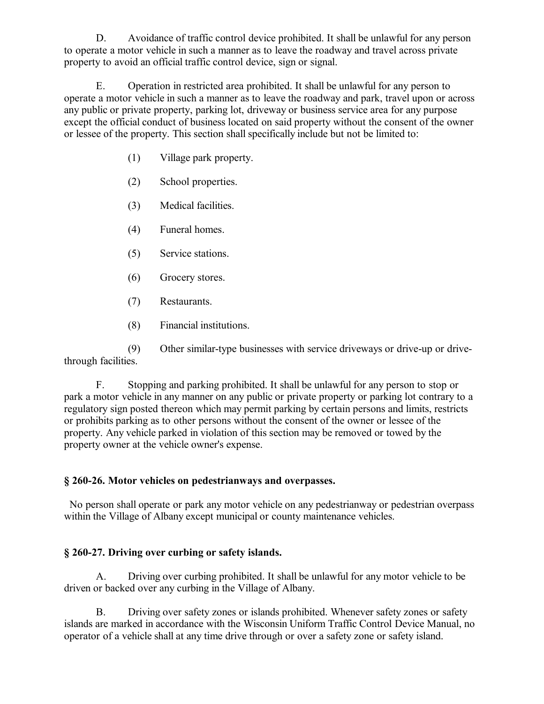D. Avoidance of traffic control device prohibited. It shall be unlawful for any person to operate a motor vehicle in such a manner as to leave the roadway and travel across private property to avoid an official traffic control device, sign or signal.

E. Operation in restricted area prohibited. It shall be unlawful for any person to operate a motor vehicle in such a manner as to leave the roadway and park, travel upon or across any public or private property, parking lot, driveway or business service area for any purpose except the official conduct of business located on said property without the consent of the owner or lessee of the property. This section shall specifically include but not be limited to:

- (1) Village park property.
- (2) School properties.
- (3) Medical facilities.
- (4) Funeral homes.
- (5) Service stations.
- (6) Grocery stores.
- (7) Restaurants.
- (8) Financial institutions.

(9) Other similar-type businesses with service driveways or drive-up or drivethrough facilities.

F. Stopping and parking prohibited. It shall be unlawful for any person to stop or park a motor vehicle in any manner on any public or private property or parking lot contrary to a regulatory sign posted thereon which may permit parking by certain persons and limits, restricts or prohibits parking as to other persons without the consent of the owner or lessee of the property. Any vehicle parked in violation of this section may be removed or towed by the property owner at the vehicle owner's expense.

## **§ 260-26. Motor vehicles on pedestrianways and overpasses.**

 No person shall operate or park any motor vehicle on any pedestrianway or pedestrian overpass within the Village of Albany except municipal or county maintenance vehicles.

## **§ 260-27. Driving over curbing or safety islands.**

A. Driving over curbing prohibited. It shall be unlawful for any motor vehicle to be driven or backed over any curbing in the Village of Albany.

B. Driving over safety zones or islands prohibited. Whenever safety zones or safety islands are marked in accordance with the Wisconsin Uniform Traffic Control Device Manual, no operator of a vehicle shall at any time drive through or over a safety zone or safety island.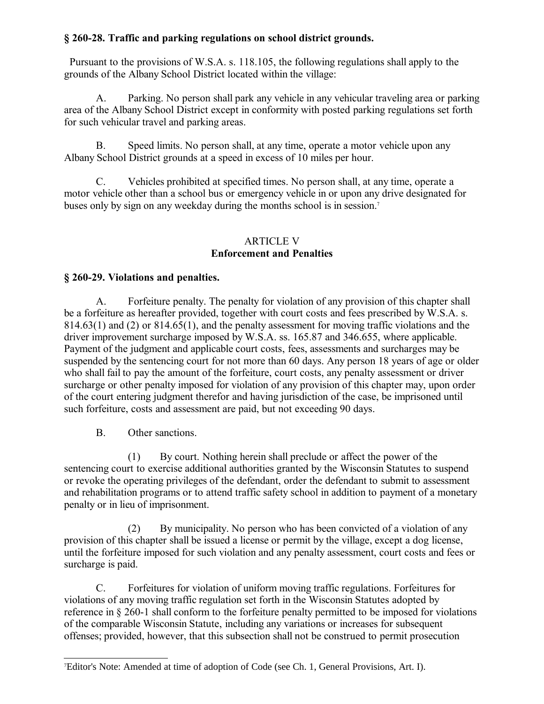## **§ 260-28. Traffic and parking regulations on school district grounds.**

 Pursuant to the provisions of W.S.A. s. 118.105, the following regulations shall apply to the grounds of the Albany School District located within the village:

A. Parking. No person shall park any vehicle in any vehicular traveling area or parking area of the Albany School District except in conformity with posted parking regulations set forth for such vehicular travel and parking areas.

B. Speed limits. No person shall, at any time, operate a motor vehicle upon any Albany School District grounds at a speed in excess of 10 miles per hour.

C. Vehicles prohibited at specified times. No person shall, at any time, operate a motor vehicle other than a school bus or emergency vehicle in or upon any drive designated for buses only by sign on any weekday during the months school is in session.<sup>[7](#page-16-0)</sup>

### ARTICLE V **Enforcement and Penalties**

## **§ 260-29. Violations and penalties.**

A. Forfeiture penalty. The penalty for violation of any provision of this chapter shall be a forfeiture as hereafter provided, together with court costs and fees prescribed by W.S.A. s. 814.63(1) and (2) or 814.65(1), and the penalty assessment for moving traffic violations and the driver improvement surcharge imposed by W.S.A. ss. 165.87 and 346.655, where applicable. Payment of the judgment and applicable court costs, fees, assessments and surcharges may be suspended by the sentencing court for not more than 60 days. Any person 18 years of age or older who shall fail to pay the amount of the forfeiture, court costs, any penalty assessment or driver surcharge or other penalty imposed for violation of any provision of this chapter may, upon order of the court entering judgment therefor and having jurisdiction of the case, be imprisoned until such forfeiture, costs and assessment are paid, but not exceeding 90 days.

B. Other sanctions.

(1) By court. Nothing herein shall preclude or affect the power of the sentencing court to exercise additional authorities granted by the Wisconsin Statutes to suspend or revoke the operating privileges of the defendant, order the defendant to submit to assessment and rehabilitation programs or to attend traffic safety school in addition to payment of a monetary penalty or in lieu of imprisonment.

(2) By municipality. No person who has been convicted of a violation of any provision of this chapter shall be issued a license or permit by the village, except a dog license, until the forfeiture imposed for such violation and any penalty assessment, court costs and fees or surcharge is paid.

C. Forfeitures for violation of uniform moving traffic regulations. Forfeitures for violations of any moving traffic regulation set forth in the Wisconsin Statutes adopted by reference in § 260-1 shall conform to the forfeiture penalty permitted to be imposed for violations of the comparable Wisconsin Statute, including any variations or increases for subsequent offenses; provided, however, that this subsection shall not be construed to permit prosecution

<span id="page-16-0"></span><sup>7</sup>Editor's Note: Amended at time of adoption of Code (see Ch. 1, General Provisions, Art. I).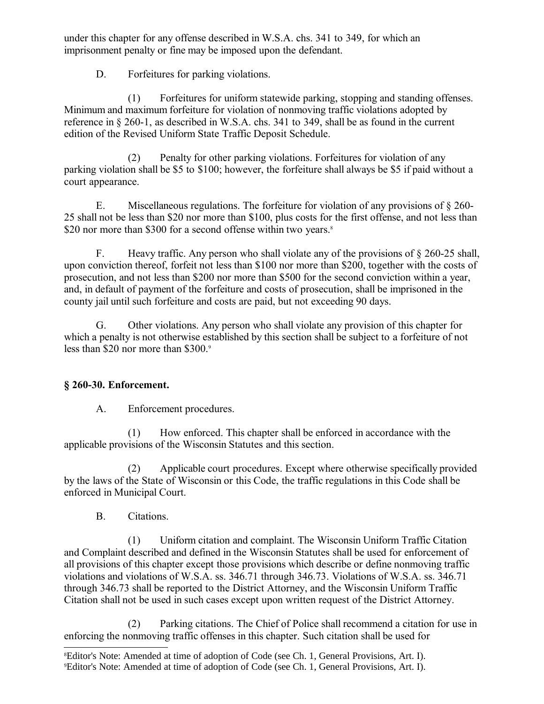under this chapter for any offense described in W.S.A. chs. 341 to 349, for which an imprisonment penalty or fine may be imposed upon the defendant.

D. Forfeitures for parking violations.

(1) Forfeitures for uniform statewide parking, stopping and standing offenses. Minimum and maximum forfeiture for violation of nonmoving traffic violations adopted by reference in § 260-1, as described in W.S.A. chs. 341 to 349, shall be as found in the current edition of the Revised Uniform State Traffic Deposit Schedule.

(2) Penalty for other parking violations. Forfeitures for violation of any parking violation shall be \$5 to \$100; however, the forfeiture shall always be \$5 if paid without a court appearance.

E. Miscellaneous regulations. The forfeiture for violation of any provisions of § 260- 25 shall not be less than \$20 nor more than \$100, plus costs for the first offense, and not less than \$20 nor more than \$300 for a second offense within two years.<sup>[8](#page-17-0)</sup>

F. Heavy traffic. Any person who shall violate any of the provisions of § 260-25 shall, upon conviction thereof, forfeit not less than \$100 nor more than \$200, together with the costs of prosecution, and not less than \$200 nor more than \$500 for the second conviction within a year, and, in default of payment of the forfeiture and costs of prosecution, shall be imprisoned in the county jail until such forfeiture and costs are paid, but not exceeding 90 days.

G. Other violations. Any person who shall violate any provision of this chapter for which a penalty is not otherwise established by this section shall be subject to a forfeiture of not less than \$20 nor more than \$300.[9](#page-17-1)

## **§ 260-30. Enforcement.**

A. Enforcement procedures.

(1) How enforced. This chapter shall be enforced in accordance with the applicable provisions of the Wisconsin Statutes and this section.

(2) Applicable court procedures. Except where otherwise specifically provided by the laws of the State of Wisconsin or this Code, the traffic regulations in this Code shall be enforced in Municipal Court.

B. Citations.

(1) Uniform citation and complaint. The Wisconsin Uniform Traffic Citation and Complaint described and defined in the Wisconsin Statutes shall be used for enforcement of all provisions of this chapter except those provisions which describe or define nonmoving traffic violations and violations of W.S.A. ss. 346.71 through 346.73. Violations of W.S.A. ss. 346.71 through 346.73 shall be reported to the District Attorney, and the Wisconsin Uniform Traffic Citation shall not be used in such cases except upon written request of the District Attorney.

(2) Parking citations. The Chief of Police shall recommend a citation for use in enforcing the nonmoving traffic offenses in this chapter. Such citation shall be used for

<span id="page-17-1"></span><span id="page-17-0"></span><sup>8</sup>Editor's Note: Amended at time of adoption of Code (see Ch. 1, General Provisions, Art. I). 9Editor's Note: Amended at time of adoption of Code (see Ch. 1, General Provisions, Art. I).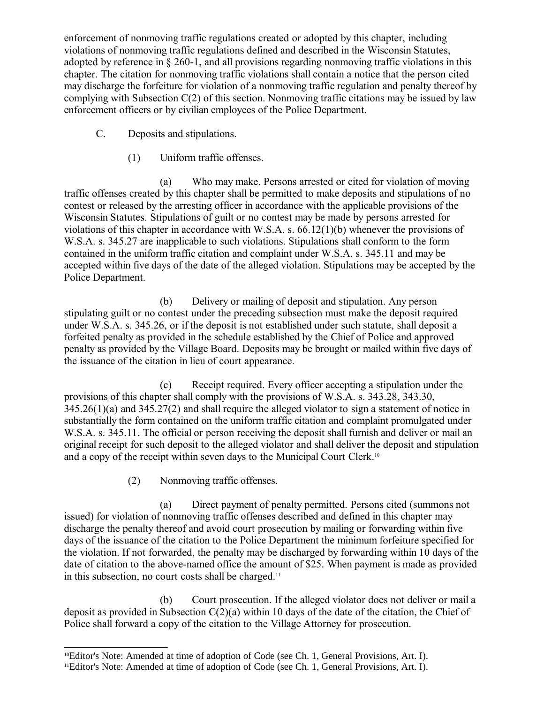enforcement of nonmoving traffic regulations created or adopted by this chapter, including violations of nonmoving traffic regulations defined and described in the Wisconsin Statutes, adopted by reference in § 260-1, and all provisions regarding nonmoving traffic violations in this chapter. The citation for nonmoving traffic violations shall contain a notice that the person cited may discharge the forfeiture for violation of a nonmoving traffic regulation and penalty thereof by complying with Subsection C(2) of this section. Nonmoving traffic citations may be issued by law enforcement officers or by civilian employees of the Police Department.

- C. Deposits and stipulations.
	- (1) Uniform traffic offenses.

(a) Who may make. Persons arrested or cited for violation of moving traffic offenses created by this chapter shall be permitted to make deposits and stipulations of no contest or released by the arresting officer in accordance with the applicable provisions of the Wisconsin Statutes. Stipulations of guilt or no contest may be made by persons arrested for violations of this chapter in accordance with W.S.A. s. 66.12(1)(b) whenever the provisions of W.S.A. s. 345.27 are inapplicable to such violations. Stipulations shall conform to the form contained in the uniform traffic citation and complaint under W.S.A. s. 345.11 and may be accepted within five days of the date of the alleged violation. Stipulations may be accepted by the Police Department.

(b) Delivery or mailing of deposit and stipulation. Any person stipulating guilt or no contest under the preceding subsection must make the deposit required under W.S.A. s. 345.26, or if the deposit is not established under such statute, shall deposit a forfeited penalty as provided in the schedule established by the Chief of Police and approved penalty as provided by the Village Board. Deposits may be brought or mailed within five days of the issuance of the citation in lieu of court appearance.

(c) Receipt required. Every officer accepting a stipulation under the provisions of this chapter shall comply with the provisions of W.S.A. s. 343.28, 343.30, 345.26(1)(a) and 345.27(2) and shall require the alleged violator to sign a statement of notice in substantially the form contained on the uniform traffic citation and complaint promulgated under W.S.A. s. 345.11. The official or person receiving the deposit shall furnish and deliver or mail an original receipt for such deposit to the alleged violator and shall deliver the deposit and stipulation and a copy of the receipt within seven days to the Municipal Court Clerk.[10](#page-18-0)

(2) Nonmoving traffic offenses.

(a) Direct payment of penalty permitted. Persons cited (summons not issued) for violation of nonmoving traffic offenses described and defined in this chapter may discharge the penalty thereof and avoid court prosecution by mailing or forwarding within five days of the issuance of the citation to the Police Department the minimum forfeiture specified for the violation. If not forwarded, the penalty may be discharged by forwarding within 10 days of the date of citation to the above-named office the amount of \$25. When payment is made as provided in this subsection, no court costs shall be charged.<sup>[11](#page-18-1)</sup>

(b) Court prosecution. If the alleged violator does not deliver or mail a deposit as provided in Subsection C(2)(a) within 10 days of the date of the citation, the Chief of Police shall forward a copy of the citation to the Village Attorney for prosecution.

<span id="page-18-0"></span><sup>10</sup>Editor's Note: Amended at time of adoption of Code (see Ch. 1, General Provisions, Art. I).

<span id="page-18-1"></span><sup>11</sup>Editor's Note: Amended at time of adoption of Code (see Ch. 1, General Provisions, Art. I).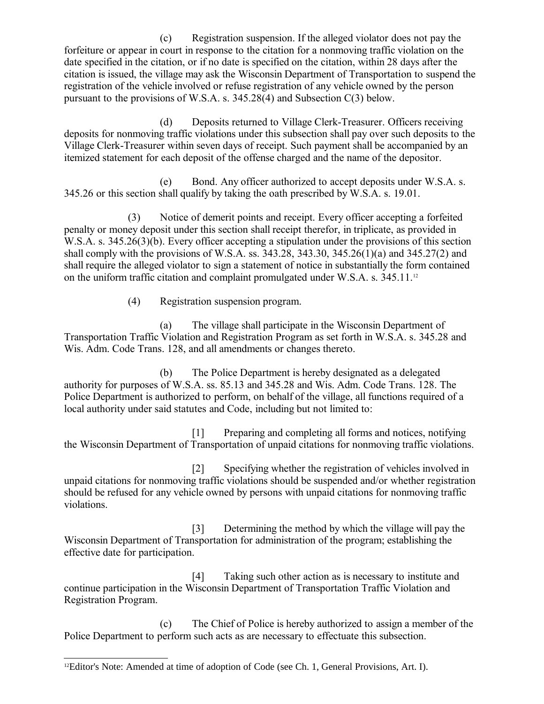(c) Registration suspension. If the alleged violator does not pay the forfeiture or appear in court in response to the citation for a nonmoving traffic violation on the date specified in the citation, or if no date is specified on the citation, within 28 days after the citation is issued, the village may ask the Wisconsin Department of Transportation to suspend the registration of the vehicle involved or refuse registration of any vehicle owned by the person pursuant to the provisions of W.S.A. s. 345.28(4) and Subsection C(3) below.

(d) Deposits returned to Village Clerk-Treasurer. Officers receiving deposits for nonmoving traffic violations under this subsection shall pay over such deposits to the Village Clerk-Treasurer within seven days of receipt. Such payment shall be accompanied by an itemized statement for each deposit of the offense charged and the name of the depositor.

(e) Bond. Any officer authorized to accept deposits under W.S.A. s. 345.26 or this section shall qualify by taking the oath prescribed by W.S.A. s. 19.01.

(3) Notice of demerit points and receipt. Every officer accepting a forfeited penalty or money deposit under this section shall receipt therefor, in triplicate, as provided in W.S.A. s. 345.26(3)(b). Every officer accepting a stipulation under the provisions of this section shall comply with the provisions of W.S.A. ss. 343.28, 343.30, 345.26(1)(a) and 345.27(2) and shall require the alleged violator to sign a statement of notice in substantially the form contained on the uniform traffic citation and complaint promulgated under W.S.A. s.  $345.11^{12}$  $345.11^{12}$  $345.11^{12}$ 

(4) Registration suspension program.

(a) The village shall participate in the Wisconsin Department of Transportation Traffic Violation and Registration Program as set forth in W.S.A. s. 345.28 and Wis. Adm. Code Trans. 128, and all amendments or changes thereto.

(b) The Police Department is hereby designated as a delegated authority for purposes of W.S.A. ss. 85.13 and 345.28 and Wis. Adm. Code Trans. 128. The Police Department is authorized to perform, on behalf of the village, all functions required of a local authority under said statutes and Code, including but not limited to:

[1] Preparing and completing all forms and notices, notifying the Wisconsin Department of Transportation of unpaid citations for nonmoving traffic violations.

[2] Specifying whether the registration of vehicles involved in unpaid citations for nonmoving traffic violations should be suspended and/or whether registration should be refused for any vehicle owned by persons with unpaid citations for nonmoving traffic violations.

[3] Determining the method by which the village will pay the Wisconsin Department of Transportation for administration of the program; establishing the effective date for participation.

[4] Taking such other action as is necessary to institute and continue participation in the Wisconsin Department of Transportation Traffic Violation and Registration Program.

(c) The Chief of Police is hereby authorized to assign a member of the Police Department to perform such acts as are necessary to effectuate this subsection.

<span id="page-19-0"></span> $12$ Editor's Note: Amended at time of adoption of Code (see Ch. 1, General Provisions, Art. I).